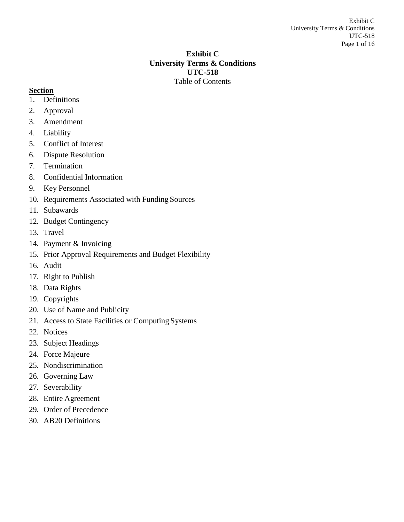## **Exhibit C University Terms & Conditions UTC-518** Table of Contents

# <span id="page-0-0"></span>**Section**

- 1. [Definitions](#page-1-0)
- 2. [Approval](#page-1-1)
- 3. [Amendment](#page-1-2)
- 4. [Liability](#page-1-3)
- 5. [Conflict of](#page-1-4) Interest
- 6. Dispute [Resolution](#page-2-0)
- 7. [Termination](#page-3-0)
- 8. [Confidential](#page-4-0) Information
- 9. Key [Personnel](#page-5-0)
- 10. [Requirements Associated with Funding](#page-5-1) Sources
- 11. [Subawards](#page-5-2)
- 12. Budget [Contingency](#page-6-0)
- 13. [Travel](#page-6-1)
- 14. Payment & [Invoicing](#page-7-0)
- 15. [Prior Approval Requirements and Budget Flexibility](#page-9-0)
- 16. [Audit](#page-9-1)
- 17. [Right to](#page-10-0) Publish
- 18. Data [Rights](#page-10-1)
- 19. [Copyrights](#page-10-2)
- 20. [Use of Name and](#page-11-0) Publicity
- 21. [Access to State Facilities or Computing](#page-11-1) Systems
- 22. [Notices](#page-11-2)
- 23. Subject [Headings](#page-11-3)
- 24. Force [Majeure](#page-11-4)
- 25. [Nondiscrimination](#page-11-5)
- 26. [Governing](#page-12-0) Law
- 27. [Severability](#page-12-1)
- 28. Entire [Agreement](#page-12-2)
- 29. Order of [Precedence](#page-12-3)
- 30. [AB20 Definitions](#page-12-4)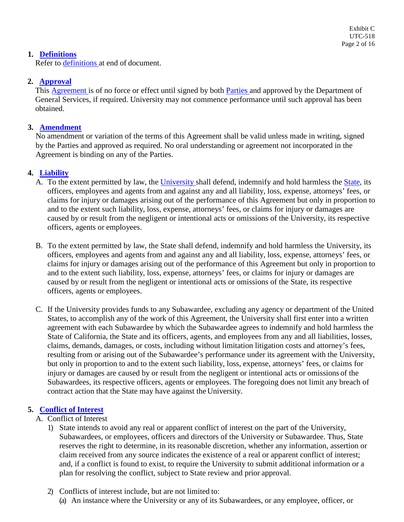## **1. [Definitions](#page-0-0)**

<span id="page-1-0"></span>Refer to [definitions a](#page-12-4)t end of document.

# **2. [Approval](#page-0-0)**

<span id="page-1-1"></span>This [Agreement](#page-12-5) is of no force or effect until signed by both [Parties a](#page-14-0)nd approved by the Department of General Services, if required. University may not commence performance until such approval has been obtained.

## **3. [Amendment](#page-0-0)**

<span id="page-1-2"></span>No amendment or variation of the terms of this Agreement shall be valid unless made in writing, signed by the Parties and approved as required. No oral understanding or agreement not incorporated in the Agreement is binding on any of the Parties.

## **4. [Liability](#page-0-0)**

- <span id="page-1-3"></span>A. To the extent permitted by law, the [University s](#page-15-0)hall defend, indemnify and hold harmless the [State,](#page-14-1) its officers, employees and agents from and against any and all liability, loss, expense, attorneys' fees, or claims for injury or damages arising out of the performance of this Agreement but only in proportion to and to the extent such liability, loss, expense, attorneys' fees, or claims for injury or damages are caused by or result from the negligent or intentional acts or omissions of the University, its respective officers, agents or employees.
- B. To the extent permitted by law, the State shall defend, indemnify and hold harmless the University, its officers, employees and agents from and against any and all liability, loss, expense, attorneys' fees, or claims for injury or damages arising out of the performance of this Agreement but only in proportion to and to the extent such liability, loss, expense, attorneys' fees, or claims for injury or damages are caused by or result from the negligent or intentional acts or omissions of the State, its respective officers, agents or employees.
- C. If the University provides funds to any Subawardee, excluding any agency or department of the United States, to accomplish any of the work of this Agreement, the University shall first enter into a written agreement with each Subawardee by which the Subawardee agrees to indemnify and hold harmless the State of California, the State and its officers, agents, and employees from any and all liabilities, losses, claims, demands, damages, or costs, including without limitation litigation costs and attorney's fees, resulting from or arising out of the Subawardee's performance under its agreement with the University, but only in proportion to and to the extent such liability, loss, expense, attorneys' fees, or claims for injury or damages are caused by or result from the negligent or intentional acts or omissions of the Subawardees, its respective officers, agents or employees. The foregoing does not limit any breach of contract action that the State may have against the University.

# **5. [Conflict of](#page-0-0) Interest**

## <span id="page-1-4"></span>A. Conflict of Interest

1) State intends to avoid any real or apparent conflict of interest on the part of the University, Subawardees, or employees, officers and directors of the University or Subawardee. Thus, State reserves the right to determine, in its reasonable discretion, whether any information, assertion or claim received from any source indicates the existence of a real or apparent conflict of interest; and, if a conflict is found to exist, to require the University to submit additional information or a plan for resolving the conflict, subject to State review and prior approval.

# 2) Conflicts of interest include, but are not limited to:

(a) An instance where the University or any of its Subawardees, or any employee, officer, or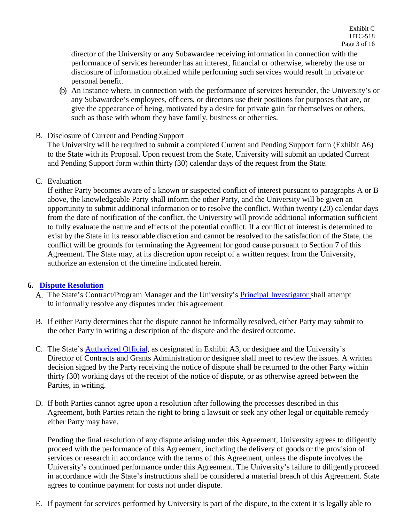director of the University or any Subawardee receiving information in connection with the performance of services hereunder has an interest, financial or otherwise, whereby the use or disclosure of information obtained while performing such services would result in private or personal benefit.

- (b) An instance where, in connection with the performance of services hereunder, the University's or any Subawardee's employees, officers, or directors use their positions for purposes that are, or give the appearance of being, motivated by a desire for private gain for themselves or others, such as those with whom they have family, business or other ties.
- B. Disclosure of Current and Pending Support

The University will be required to submit a completed Current and Pending Support form (Exhibit A6) to the State with its Proposal. Upon request from the State, University will submit an updated Current and Pending Support form within thirty (30) calendar days of the request from the State.

C. Evaluation

If either Party becomes aware of a known or suspected conflict of interest pursuant to paragraphs A or B above, the knowledgeable Party shall inform the other Party, and the University will be given an opportunity to submit additional information or to resolve the conflict. Within twenty (20) calendar days from the date of notification of the conflict, the University will provide additional information sufficient to fully evaluate the nature and effects of the potential conflict. If a conflict of interest is determined to exist by the State in its reasonable discretion and cannot be resolved to the satisfaction of the State, the conflict will be grounds for terminating the Agreement for good cause pursuant to Section 7 of this Agreement. The State may, at its discretion upon receipt of a written request from the University, authorize an extension of the timeline indicated herein.

## **6. Dispute [Resolution](#page-0-0)**

- <span id="page-2-0"></span>A. The State's Contract/Program Manager and the University's [Principal Investigator s](#page-14-2)hall attempt to informally resolve any disputes under this agreement.
- B. If either Party determines that the dispute cannot be informally resolved, either Party may submit to the other Party in writing a description of the dispute and the desired outcome.
- C. The State's [Authorized Official,](#page-13-0) as designated in Exhibit A3, or designee and the University's Director of Contracts and Grants Administration or designee shall meet to review the issues. A written decision signed by the Party receiving the notice of dispute shall be returned to the other Party within thirty (30) working days of the receipt of the notice of dispute, or as otherwise agreed between the Parties, in writing.
- D. If both Parties cannot agree upon a resolution after following the processes described in this Agreement, both Parties retain the right to bring a lawsuit or seek any other legal or equitable remedy either Party may have.

Pending the final resolution of any dispute arising under this Agreement, University agrees to diligently proceed with the performance of this Agreement, including the delivery of goods or the provision of services or research in accordance with the terms of this Agreement, unless the dispute involves the University's continued performance under this Agreement. The University's failure to diligentlyproceed in accordance with the State's instructions shall be considered a material breach of this Agreement. State agrees to continue payment for costs not under dispute.

E. If payment for services performed by University is part of the dispute, to the extent it is legally able to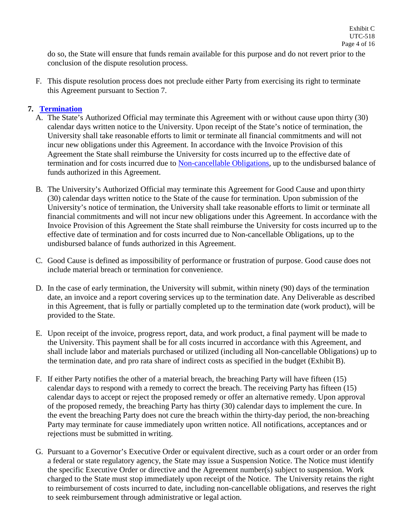do so, the State will ensure that funds remain available for this purpose and do not revert prior to the conclusion of the dispute resolution process.

F. This dispute resolution process does not preclude either Party from exercising its right to terminate this Agreement pursuant to Section 7.

## **7. [Termination](#page-0-0)**

- <span id="page-3-0"></span>A. The State's Authorized Official may terminate this Agreement with or without cause upon thirty (30) calendar days written notice to the University. Upon receipt of the State's notice of termination, the University shall take reasonable efforts to limit or terminate all financial commitments and will not incur new obligations under this Agreement. In accordance with the Invoice Provision of this Agreement the State shall reimburse the University for costs incurred up to the effective date of termination and for costs incurred due to [Non-cancellable Obligations,](#page-14-3) up to the undisbursed balance of funds authorized in this Agreement.
- B. The University's Authorized Official may terminate this Agreement for Good Cause and upon thirty (30) calendar days written notice to the State of the cause for termination. Upon submission of the University's notice of termination, the University shall take reasonable efforts to limit or terminate all financial commitments and will not incur new obligations under this Agreement. In accordance with the Invoice Provision of this Agreement the State shall reimburse the University for costs incurred up to the effective date of termination and for costs incurred due to Non-cancellable Obligations, up to the undisbursed balance of funds authorized in this Agreement.
- C. Good Cause is defined as impossibility of performance or frustration of purpose. Good cause does not include material breach or termination for convenience.
- D. In the case of early termination, the University will submit, within ninety (90) days of the termination date, an invoice and a report covering services up to the termination date. Any Deliverable as described in this Agreement, that is fully or partially completed up to the termination date (work product), will be provided to the State.
- E. Upon receipt of the invoice, progress report, data, and work product, a final payment will be made to the University. This payment shall be for all costs incurred in accordance with this Agreement, and shall include labor and materials purchased or utilized (including all Non-cancellable Obligations) up to the termination date, and pro rata share of indirect costs as specified in the budget (Exhibit B).
- F. If either Party notifies the other of a material breach, the breaching Party will have fifteen (15) calendar days to respond with a remedy to correct the breach. The receiving Party has fifteen (15) calendar days to accept or reject the proposed remedy or offer an alternative remedy. Upon approval of the proposed remedy, the breaching Party has thirty (30) calendar days to implement the cure. In the event the breaching Party does not cure the breach within the thirty-day period, the non-breaching Party may terminate for cause immediately upon written notice. All notifications, acceptances and or rejections must be submitted in writing.
- G. Pursuant to a Governor's Executive Order or equivalent directive, such as a court order or an order from a federal or state regulatory agency, the State may issue a Suspension Notice. The Notice must identify the specific Executive Order or directive and the Agreement number(s) subject to suspension. Work charged to the State must stop immediately upon receipt of the Notice. The University retains the right to reimbursement of costs incurred to date, including non-cancellable obligations, and reserves the right to seek reimbursement through administrative or legal action.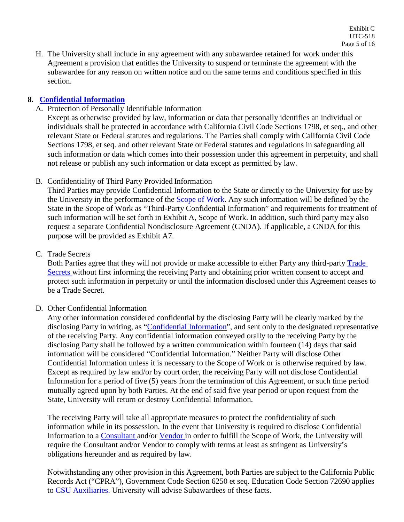H. The University shall include in any agreement with any subawardee retained for work under this Agreement a provision that entitles the University to suspend or terminate the agreement with the subawardee for any reason on written notice and on the same terms and conditions specified in this section.

## **8. [Confidential](#page-0-0) Information**

<span id="page-4-0"></span>A. Protection of Personally Identifiable Information

Except as otherwise provided by law, information or data that personally identifies an individual or individuals shall be protected in accordance with California Civil Code Sections 1798, et seq., and other relevant State or Federal statutes and regulations. The Parties shall comply with California Civil Code Sections 1798, et seq. and other relevant State or Federal statutes and regulations in safeguarding all such information or data which comes into their possession under this agreement in perpetuity, and shall not release or publish any such information or data except as permitted by law.

B. Confidentiality of Third Party Provided Information

Third Parties may provide Confidential Information to the State or directly to the University for use by the University in the performance of the [Scope of Work.](#page-14-4) Any such information will be defined by the State in the Scope of Work as "Third-Party Confidential Information" and requirements for treatment of such information will be set forth in Exhibit A, Scope of Work. In addition, such third party may also request a separate Confidential Nondisclosure Agreement (CNDA). If applicable, a CNDA for this purpose will be provided as Exhibit A7.

C. Trade Secrets

Both Parties agree that they will not provide or make accessible to either Party any third-party [Trade](#page-14-5) [Secrets w](#page-14-5)ithout first informing the receiving Party and obtaining prior written consent to accept and protect such information in perpetuity or until the information disclosed under this Agreement ceases to be a Trade Secret.

D. Other Confidential Information

Any other information considered confidential by the disclosing Party will be clearly marked by the disclosing Party in writing, as ["Confidential Information"](#page-13-1), and sent only to the designated representative of the receiving Party. Any confidential information conveyed orally to the receiving Party by the disclosing Party shall be followed by a written communication within fourteen (14) days that said information will be considered "Confidential Information." Neither Party will disclose Other Confidential Information unless it is necessary to the Scope of Work or is otherwise required by law. Except as required by law and/or by court order, the receiving Party will not disclose Confidential Information for a period of five (5) years from the termination of this Agreement, or such time period mutually agreed upon by both Parties. At the end of said five year period or upon request from the State, University will return or destroy Confidential Information.

The receiving Party will take all appropriate measures to protect the confidentiality of such information while in its possession. In the event that University is required to disclose Confidential Information to a [Consultant](#page-13-2) and/or [Vendor](#page-15-1) in order to fulfill the Scope of Work, the University will require the Consultant and/or Vendor to comply with terms at least as stringent as University's obligations hereunder and as required by law.

Notwithstanding any other provision in this Agreement, both Parties are subject to the California Public Records Act ("CPRA"), Government Code Section 6250 et seq. Education Code Section 72690 applies to [CSU Auxiliaries.](#page-13-3) University will advise Subawardees of these facts.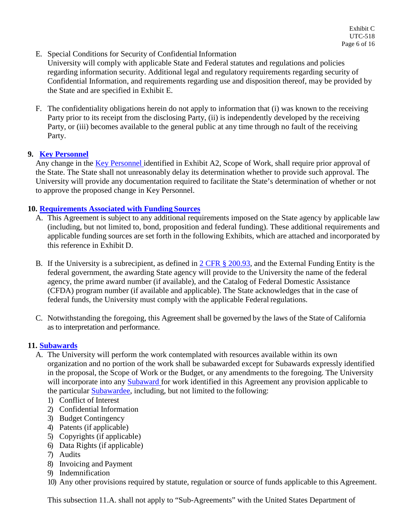E. Special Conditions for Security of Confidential Information

University will comply with applicable State and Federal statutes and regulations and policies regarding information security. Additional legal and regulatory requirements regarding security of Confidential Information, and requirements regarding use and disposition thereof, may be provided by the State and are specified in Exhibit E.

F. The confidentiality obligations herein do not apply to information that (i) was known to the receiving Party prior to its receipt from the disclosing Party, (ii) is independently developed by the receiving Party, or (iii) becomes available to the general public at any time through no fault of the receiving Party.

## **9. Key [Personnel](#page-0-0)**

<span id="page-5-0"></span>Any change in the [Key Personnel i](#page-14-6)dentified in Exhibit A2, Scope of Work, shall require prior approval of the State. The State shall not unreasonably delay its determination whether to provide such approval. The University will provide any documentation required to facilitate the State's determination of whether or not to approve the proposed change in Key Personnel.

## **10. [Requirements Associated with Funding](#page-0-0) Sources**

- <span id="page-5-1"></span>A. This Agreement is subject to any additional requirements imposed on the State agency by applicable law (including, but not limited to, bond, proposition and federal funding). These additional requirements and applicable funding sources are set forth in the following Exhibits, which are attached and incorporated by this reference in Exhibit D.
- B. If the University is a subrecipient, as defined in  $2 \text{ CFR } \frac{8}{3}$  200.93, and the External Funding Entity is the federal government, the awarding State agency will provide to the University the name of the federal agency, the prime award number (if available), and the Catalog of Federal Domestic Assistance (CFDA) program number (if available and applicable). The State acknowledges that in the case of federal funds, the University must comply with the applicable Federal regulations.
- C. Notwithstanding the foregoing, this Agreement shall be governed by the laws of the State of California as to interpretation and performance.

## **11. [Subawards](#page-0-0)**

- <span id="page-5-2"></span>A. The University will perform the work contemplated with resources available within its own organization and no portion of the work shall be subawarded except for Subawards expressly identified in the proposal, the Scope of Work or the Budget, or any amendments to the foregoing. The University will incorporate into any [Subaward f](#page-14-7)or work identified in this Agreement any provision applicable to the particular [Subawardee,](#page-14-8) including, but not limited to the following:
	- 1) Conflict of Interest
	- 2) Confidential Information
	- 3) Budget Contingency
	- 4) Patents (if applicable)
	- 5) Copyrights (if applicable)
	- 6) Data Rights (if applicable)
	- 7) Audits
	- 8) Invoicing and Payment
	- 9) Indemnification
	- 10) Any other provisions required by statute, regulation or source of funds applicable to this Agreement.

This subsection 11.A. shall not apply to "Sub-Agreements" with the United States Department of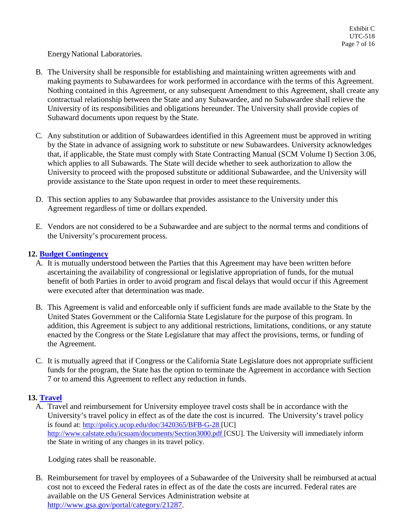EnergyNational Laboratories.

- B. The University shall be responsible for establishing and maintaining written agreements with and making payments to Subawardees for work performed in accordance with the terms of this Agreement. Nothing contained in this Agreement, or any subsequent Amendment to this Agreement, shall create any contractual relationship between the State and any Subawardee, and no Subawardee shall relieve the University of its responsibilities and obligations hereunder. The University shall provide copies of Subaward documents upon request by the State.
- C. Any substitution or addition of Subawardees identified in this Agreement must be approved in writing by the State in advance of assigning work to substitute or new Subawardees. University acknowledges that, if applicable, the State must comply with State Contracting Manual (SCM Volume I) Section 3.06, which applies to all Subawards. The State will decide whether to seek authorization to allow the University to proceed with the proposed substitute or additional Subawardee, and the University will provide assistance to the State upon request in order to meet these requirements.
- D. This section applies to any Subawardee that provides assistance to the University under this Agreement regardless of time or dollars expended.
- E. Vendors are not considered to be a Subawardee and are subject to the normal terms and conditions of the University's procurement process.

## **12. Budget [Contingency](#page-0-0)**

- <span id="page-6-0"></span>A. It is mutually understood between the Parties that this Agreement may have been written before ascertaining the availability of congressional or legislative appropriation of funds, for the mutual benefit of both Parties in order to avoid program and fiscal delays that would occur if this Agreement were executed after that determination was made.
- B. This Agreement is valid and enforceable only if sufficient funds are made available to the State by the United States Government or the California State Legislature for the purpose of this program. In addition, this Agreement is subject to any additional restrictions, limitations, conditions, or any statute enacted by the Congress or the State Legislature that may affect the provisions, terms, or funding of the Agreement.
- C. It is mutually agreed that if Congress or the California State Legislature does not appropriate sufficient funds for the program, the State has the option to terminate the Agreement in accordance with Section 7 or to amend this Agreement to reflect any reduction in funds.

## <span id="page-6-1"></span>**13. [Travel](#page-0-0)**

A. Travel and reimbursement for University employee travel costs shall be in accordance with the University's travel policy in effect as of the date the cost is incurred. The University's travel policy is found at:<http://policy.ucop.edu/doc/3420365/BFB-G-28> [UC] [http://www.calstate.edu/icsuam/documents/Section3000.pdf \[](http://www.calstate.edu/icsuam/documents/Section3000.pdf)CSU]. The University will immediately inform the State in writing of any changes in its travel policy.

Lodging rates shall be reasonable.

B. Reimbursement for travel by employees of a Subawardee of the University shall be reimbursed at actual cost not to exceed the Federal rates in effect as of the date the costs are incurred. Federal rates are available on the US General Services Administration website at [http://www.gsa.gov/portal/category/21287.](http://www.gsa.gov/portal/category/21287)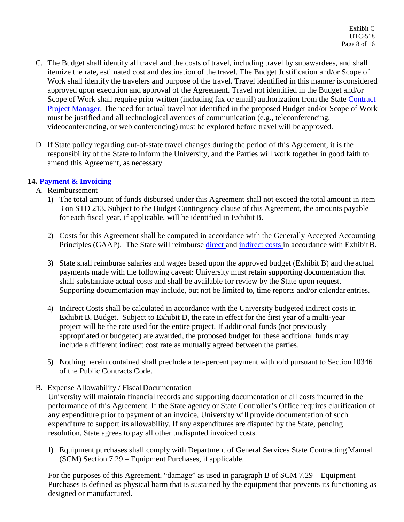- C. The Budget shall identify all travel and the costs of travel, including travel by subawardees, and shall itemize the rate, estimated cost and destination of the travel. The Budget Justification and/or Scope of Work shall identify the travelers and purpose of the travel. Travel identified in this manner is considered approved upon execution and approval of the Agreement. Travel not identified in the Budget and/or Scope of Work shall require prior written (including fax or email) authorization from the State [Contract](#page-13-4)  [Project Manager.](#page-13-4) The need for actual travel not identified in the proposed Budget and/or Scope of Work must be justified and all technological avenues of communication (e.g., teleconferencing, videoconferencing, or web conferencing) must be explored before travel will be approved.
- D. If State policy regarding out-of-state travel changes during the period of this Agreement, it is the responsibility of the State to inform the University, and the Parties will work together in good faith to amend this Agreement, as necessary.

# <span id="page-7-0"></span>**14. Payment & [Invoicing](#page-0-0)**

- A. Reimbursement
	- 1) The total amount of funds disbursed under this Agreement shall not exceed the total amount in item 3 on STD 213. Subject to the Budget Contingency clause of this Agreement, the amounts payable for each fiscal year, if applicable, will be identified in Exhibit B.
	- 2) Costs for this Agreement shall be computed in accordance with the Generally Accepted Accounting Principles (GAAP). The State will reimburse [direct a](#page-13-5)nd [indirect costs i](#page-14-9)n accordance with ExhibitB.
	- 3) State shall reimburse salaries and wages based upon the approved budget (Exhibit B) and the actual payments made with the following caveat: University must retain supporting documentation that shall substantiate actual costs and shall be available for review by the State upon request. Supporting documentation may include, but not be limited to, time reports and/or calendar entries.
	- 4) Indirect Costs shall be calculated in accordance with the University budgeted indirect costs in Exhibit B, Budget. Subject to Exhibit D, the rate in effect for the first year of a multi-year project will be the rate used for the entire project. If additional funds (not previously appropriated or budgeted) are awarded, the proposed budget for these additional funds may include a different indirect cost rate as mutually agreed between the parties.
	- 5) Nothing herein contained shall preclude a ten-percent payment withhold pursuant to Section 10346 of the Public Contracts Code.
- B. Expense Allowability / Fiscal Documentation

University will maintain financial records and supporting documentation of all costs incurred in the performance of this Agreement. If the State agency or State Controller's Office requires clarification of any expenditure prior to payment of an invoice, University will provide documentation of such expenditure to support its allowability. If any expenditures are disputed by the State, pending resolution, State agrees to pay all other undisputed invoiced costs.

1) Equipment purchases shall comply with Department of General Services State ContractingManual (SCM) Section 7.29 – Equipment Purchases, if applicable.

For the purposes of this Agreement, "damage" as used in paragraph B of SCM 7.29 – Equipment Purchases is defined as physical harm that is sustained by the equipment that prevents its functioning as designed or manufactured.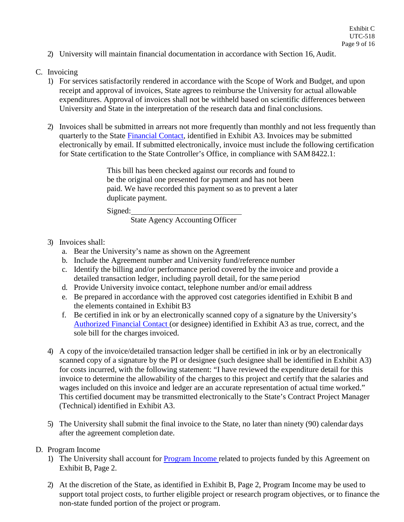2) University will maintain financial documentation in accordance with Section 16, Audit.

#### C. Invoicing

- 1) For services satisfactorily rendered in accordance with the Scope of Work and Budget, and upon receipt and approval of invoices, State agrees to reimburse the University for actual allowable expenditures. Approval of invoices shall not be withheld based on scientific differences between University and State in the interpretation of the research data and final conclusions.
- 2) Invoices shall be submitted in arrears not more frequently than monthly and not less frequently than quarterly to the State [Financial Contact,](#page-14-10) identified in Exhibit A3. Invoices may be submitted electronically by email. If submitted electronically, invoice must include the following certification for State certification to the State Controller's Office, in compliance with SAM 8422.1:

This bill has been checked against our records and found to be the original one presented for payment and has not been paid. We have recorded this payment so as to prevent a later duplicate payment.

Signed:

State Agency Accounting Officer

- 3) Invoices shall:
	- a. Bear the University's name as shown on the Agreement
	- b. Include the Agreement number and University fund/reference number
	- c. Identify the billing and/or performance period covered by the invoice and provide a detailed transaction ledger, including payroll detail, for the same period
	- d. Provide University invoice contact, telephone number and/or email address
	- e. Be prepared in accordance with the approved cost categories identified in Exhibit B and the elements contained in Exhibit B3
	- f. Be certified in ink or by an electronically scanned copy of a signature by the University's [Authorized Financial Contact \(](#page-12-6)or designee) identified in Exhibit A3 as true, correct, and the sole bill for the charges invoiced.
- 4) A copy of the invoice/detailed transaction ledger shall be certified in ink or by an electronically scanned copy of a signature by the PI or designee (such designee shall be identified in Exhibit A3) for costs incurred, with the following statement: "I have reviewed the expenditure detail for this invoice to determine the allowability of the charges to this project and certify that the salaries and wages included on this invoice and ledger are an accurate representation of actual time worked." This certified document may be transmitted electronically to the State's Contract Project Manager (Technical) identified in Exhibit A3.
- 5) The University shall submit the final invoice to the State, no later than ninety (90) calendar days after the agreement completion date.

#### D. Program Income

- 1) The University shall account for [Program Income r](#page-14-11)elated to projects funded by this Agreement on Exhibit B, Page 2.
- 2) At the discretion of the State, as identified in Exhibit B, Page 2, Program Income may be used to support total project costs, to further eligible project or research program objectives, or to finance the non-state funded portion of the project or program.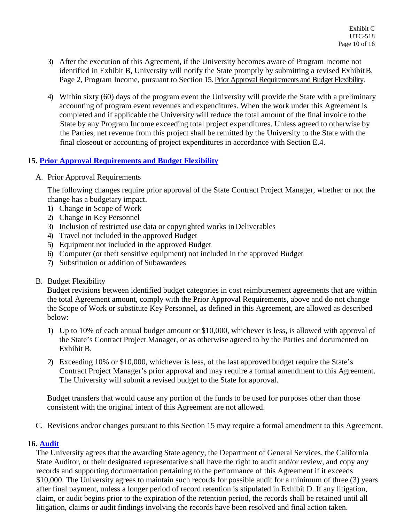- 3) After the execution of this Agreement, if the University becomes aware of Program Income not identified in Exhibit B, University will notify the State promptly by submitting a revised ExhibitB, Page 2, Program Income, pursuant to Section 15. Prior Approval Requirements and Budget Flexibility.
- 4) Within sixty (60) days of the program event the University will provide the State with a preliminary accounting of program event revenues and expenditures. When the work under this Agreement is completed and if applicable the University will reduce the total amount of the final invoice to the State by any Program Income exceeding total project expenditures. Unless agreed to otherwise by the Parties, net revenue from this project shall be remitted by the University to the State with the final closeout or accounting of project expenditures in accordance with Section E.4.

## <span id="page-9-0"></span>**15. [Prior Approval Requirements and Budget Flexibility](#page-0-0)**

A. Prior Approval Requirements

The following changes require prior approval of the State Contract Project Manager, whether or not the change has a budgetary impact.

- 1) Change in Scope of Work
- 2) Change in Key Personnel
- 3) Inclusion of restricted use data or copyrighted works in Deliverables
- 4) Travel not included in the approved Budget
- 5) Equipment not included in the approved Budget
- 6) Computer (or theft sensitive equipment) not included in the approved Budget
- 7) Substitution or addition of Subawardees
- B. Budget Flexibility

Budget revisions between identified budget categories in cost reimbursement agreements that are within the total Agreement amount, comply with the Prior Approval Requirements, above and do not change the Scope of Work or substitute Key Personnel, as defined in this Agreement, are allowed as described below:

- 1) Up to 10% of each annual budget amount or \$10,000, whichever is less, is allowed with approval of the State's Contract Project Manager, or as otherwise agreed to by the Parties and documented on Exhibit B.
- 2) Exceeding 10% or \$10,000, whichever is less, of the last approved budget require the State's Contract Project Manager's prior approval and may require a formal amendment to this Agreement. The University will submit a revised budget to the State for approval.

Budget transfers that would cause any portion of the funds to be used for purposes other than those consistent with the original intent of this Agreement are not allowed.

C. Revisions and/or changes pursuant to this Section 15 may require a formal amendment to this Agreement.

#### **16. [Audit](#page-0-0)**

<span id="page-9-1"></span>The University agrees that the awarding State agency, the Department of General Services, the California State Auditor, or their designated representative shall have the right to audit and/or review, and copy any records and supporting documentation pertaining to the performance of this Agreement if it exceeds \$10,000. The University agrees to maintain such records for possible audit for a minimum of three (3) years after final payment, unless a longer period of record retention is stipulated in Exhibit D. If any litigation, claim, or audit begins prior to the expiration of the retention period, the records shall be retained until all litigation, claims or audit findings involving the records have been resolved and final action taken.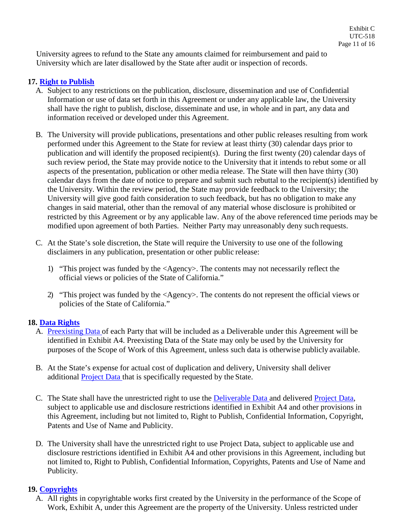University agrees to refund to the State any amounts claimed for reimbursement and paid to University which are later disallowed by the State after audit or inspection of records.

## **17. [Right to](#page-0-0) Publish**

- <span id="page-10-0"></span>A. Subject to any restrictions on the publication, disclosure, dissemination and use of Confidential Information or use of data set forth in this Agreement or under any applicable law, the University shall have the right to publish, disclose, disseminate and use, in whole and in part, any data and information received or developed under this Agreement.
- B. The University will provide publications, presentations and other public releases resulting from work performed under this Agreement to the State for review at least thirty (30) calendar days prior to publication and will identify the proposed recipient(s). During the first twenty (20) calendar days of such review period, the State may provide notice to the University that it intends to rebut some or all aspects of the presentation, publication or other media release. The State will then have thirty (30) calendar days from the date of notice to prepare and submit such rebuttal to the recipient(s) identified by the University. Within the review period, the State may provide feedback to the University; the University will give good faith consideration to such feedback, but has no obligation to make any changes in said material, other than the removal of any material whose disclosure is prohibited or restricted by this Agreement or by any applicable law. Any of the above referenced time periods may be modified upon agreement of both Parties. Neither Party may unreasonably deny such requests.
- C. At the State's sole discretion, the State will require the University to use one of the following disclaimers in any publication, presentation or other public release:
	- 1) "This project was funded by the <Agency>. The contents may not necessarily reflect the official views or policies of the State of California."
	- 2) "This project was funded by the <Agency>. The contents do not represent the official views or policies of the State of California."

## **18. Data [Rights](#page-0-0)**

- <span id="page-10-1"></span>A. [Preexisting Data o](#page-13-6)f each Party that will be included as a Deliverable under this Agreement will be identified in Exhibit A4. Preexisting Data of the State may only be used by the University for purposes of the Scope of Work of this Agreement, unless such data is otherwise publicly available.
- B. At the State's expense for actual cost of duplication and delivery, University shall deliver additional **Project Data** that is specifically requested by the State.
- C. The State shall have the unrestricted right to use the **Deliverable Data** and delivered **Project Data**, subject to applicable use and disclosure restrictions identified in Exhibit A4 and other provisions in this Agreement, including but not limited to, Right to Publish, Confidential Information, Copyright, Patents and Use of Name and Publicity.
- D. The University shall have the unrestricted right to use Project Data, subject to applicable use and disclosure restrictions identified in Exhibit A4 and other provisions in this Agreement, including but not limited to, Right to Publish, Confidential Information, Copyrights, Patents and Use of Name and Publicity.

# **19. [Copyrights](#page-0-0)**

<span id="page-10-2"></span>A. All rights in copyrightable works first created by the University in the performance of the Scope of Work, Exhibit A, under this Agreement are the property of the University. Unless restricted under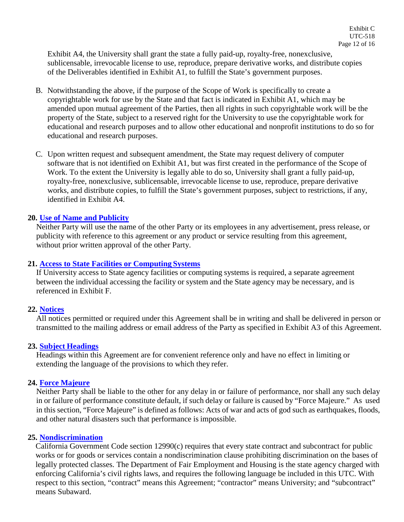Exhibit A4, the University shall grant the state a fully paid-up, royalty-free, nonexclusive, sublicensable, irrevocable license to use, reproduce, prepare derivative works, and distribute copies of the Deliverables identified in Exhibit A1, to fulfill the State's government purposes.

- B. Notwithstanding the above, if the purpose of the Scope of Work is specifically to create a copyrightable work for use by the State and that fact is indicated in Exhibit A1, which may be amended upon mutual agreement of the Parties, then all rights in such copyrightable work will be the property of the State, subject to a reserved right for the University to use the copyrightable work for educational and research purposes and to allow other educational and nonprofit institutions to do so for educational and research purposes.
- C. Upon written request and subsequent amendment, the State may request delivery of computer software that is not identified on Exhibit A1, but was first created in the performance of the Scope of Work. To the extent the University is legally able to do so, University shall grant a fully paid-up, royalty-free, nonexclusive, sublicensable, irrevocable license to use, reproduce, prepare derivative works, and distribute copies, to fulfill the State's government purposes, subject to restrictions, if any, identified in Exhibit A4.

#### **20. [Use of Name and](#page-0-0) Publicity**

<span id="page-11-0"></span>Neither Party will use the name of the other Party or its employees in any advertisement, press release, or publicity with reference to this agreement or any product or service resulting from this agreement, without prior written approval of the other Party.

#### **21. [Access to State Facilities or Computing](#page-0-0) Systems**

<span id="page-11-1"></span>If University access to State agency facilities or computing systems is required, a separate agreement between the individual accessing the facility or system and the State agency may be necessary, and is referenced in Exhibit F.

#### <span id="page-11-2"></span>**22. [Notices](#page-0-0)**

All notices permitted or required under this Agreement shall be in writing and shall be delivered in person or transmitted to the mailing address or email address of the Party as specified in Exhibit A3 of this Agreement.

#### **23. Subject [Headings](#page-0-0)**

<span id="page-11-3"></span>Headings within this Agreement are for convenient reference only and have no effect in limiting or extending the language of the provisions to which they refer.

#### **24. Force [Majeure](#page-0-0)**

<span id="page-11-4"></span>Neither Party shall be liable to the other for any delay in or failure of performance, nor shall any such delay in or failure of performance constitute default, if such delay or failure is caused by "Force Majeure." As used in this section, "Force Majeure" is defined as follows: Acts of war and acts of god such as earthquakes, floods, and other natural disasters such that performance is impossible.

#### **25. [Nondiscrimination](#page-0-0)**

<span id="page-11-5"></span>California Government Code section 12990(c) requires that every state contract and subcontract for public works or for goods or services contain a nondiscrimination clause prohibiting discrimination on the bases of legally protected classes. The Department of Fair Employment and Housing is the state agency charged with enforcing California's civil rights laws, and requires the following language be included in this UTC. With respect to this section, "contract" means this Agreement; "contractor" means University; and "subcontract" means Subaward.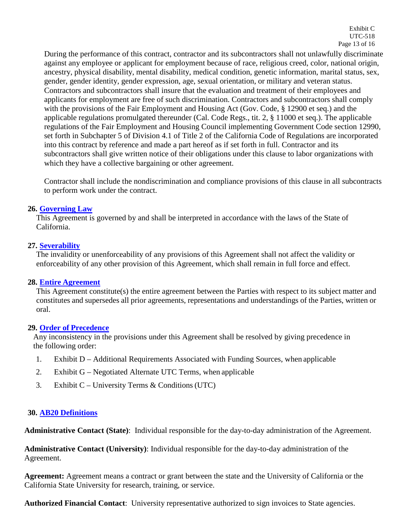During the performance of this contract, contractor and its subcontractors shall not unlawfully discriminate against any employee or applicant for employment because of race, religious creed, color, national origin, ancestry, physical disability, mental disability, medical condition, genetic information, marital status, sex, gender, gender identity, gender expression, age, sexual orientation, or military and veteran status. Contractors and subcontractors shall insure that the evaluation and treatment of their employees and applicants for employment are free of such discrimination. Contractors and subcontractors shall comply with the provisions of the Fair Employment and Housing Act (Gov. Code, § 12900 et seq.) and the applicable regulations promulgated thereunder (Cal. Code Regs., tit. 2, § 11000 et seq.). The applicable regulations of the Fair Employment and Housing Council implementing Government Code section 12990, set forth in Subchapter 5 of Division 4.1 of Title 2 of the California Code of Regulations are incorporated into this contract by reference and made a part hereof as if set forth in full. Contractor and its subcontractors shall give written notice of their obligations under this clause to labor organizations with which they have a collective bargaining or other agreement.

Contractor shall include the nondiscrimination and compliance provisions of this clause in all subcontracts to perform work under the contract.

#### **26. [Governing](#page-0-0) Law**

<span id="page-12-0"></span>This Agreement is governed by and shall be interpreted in accordance with the laws of the State of California.

#### **27. [Severability](#page-0-0)**

<span id="page-12-1"></span>The invalidity or unenforceability of any provisions of this Agreement shall not affect the validity or enforceability of any other provision of this Agreement, which shall remain in full force and effect.

## **28. Entire [Agreement](#page-0-0)**

<span id="page-12-2"></span>This Agreement constitute(s) the entire agreement between the Parties with respect to its subject matter and constitutes and supersedes all prior agreements, representations and understandings of the Parties, written or oral.

## <span id="page-12-3"></span>**29. Order of [Precedence](#page-0-0)**

Any inconsistency in the provisions under this Agreement shall be resolved by giving precedence in the following order:

- 1. Exhibit D Additional Requirements Associated with Funding Sources, when applicable
- 2. Exhibit G Negotiated Alternate UTC Terms, when applicable
- 3. Exhibit C University Terms & Conditions (UTC)

## <span id="page-12-4"></span>**30. [AB20 Definitions](#page-0-0)**

**Administrative Contact (State)**: Individual responsible for the day-to-day administration of the Agreement.

**Administrative Contact (University)**: Individual responsible for the day-to-day administration of the Agreement.

<span id="page-12-5"></span>**Agreement:** Agreement means a contract or grant between the state and the University of California or the California State University for research, training, or service.

<span id="page-12-6"></span>**Authorized Financial Contact**: University representative authorized to sign invoices to State agencies.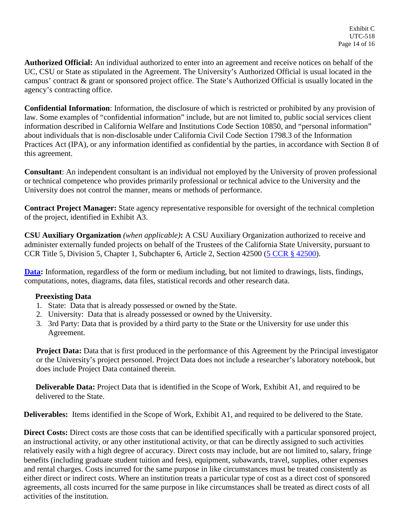<span id="page-13-0"></span>**Authorized Official:** An individual authorized to enter into an agreement and receive notices on behalf of the UC, CSU or State as stipulated in the Agreement. The University's Authorized Official is usual located in the campus' contract & grant or sponsored project office. The State's Authorized Official is usually located in the agency's contracting office.

<span id="page-13-1"></span>**Confidential Information**: Information, the disclosure of which is restricted or prohibited by any provision of law. Some examples of "confidential information" include, but are not limited to, public social services client information described in California Welfare and Institutions Code Section 10850, and "personal information" about individuals that is non-disclosable under California Civil Code Section 1798.3 of the Information Practices Act (IPA), or any information identified as confidential by the parties, in accordance with Section 8 of this agreement.

<span id="page-13-2"></span>**Consultant**: An independent consultant is an individual not employed by the University of proven professional or technical competence who provides primarily professional or technical advice to the University and the University does not control the manner, means or methods of performance.

<span id="page-13-4"></span>**Contract Project Manager:** State agency representative responsible for oversight of the technical completion of the project, identified in Exhibit A3.

<span id="page-13-3"></span>**CSU Auxiliary Organization** *(when applicable)***:** A CSU Auxiliary Organization authorized to receive and administer externally funded projects on behalf of the Trustees of the California State University, pursuant to CCR Title 5, Division 5, Chapter 1, Subchapter 6, Article 2, Section 42500 [\(5 CCR § 42500\)](http://government.westlaw.com/linkedslice/default.asp?Action=TOC&RS=GVT1.0&VR=2.0&SP=CCR-1000).

**[Data:](#page-10-1)** Information, regardless of the form or medium including, but not limited to drawings, lists, findings, computations, notes, diagrams, data files, statistical records and other research data.

#### <span id="page-13-6"></span>**Preexisting Data**

- 1. State: Data that is already possessed or owned by the State.
- 2. University: Data that is already possessed or owned by the University.
- 3. 3rd Party: Data that is provided by a third party to the State or the University for use under this Agreement.

<span id="page-13-7"></span>**Project Data:** Data that is first produced in the performance of this Agreement by the Principal investigator or the University's project personnel. Project Data does not include a researcher's laboratory notebook, but does include Project Data contained therein.

<span id="page-13-8"></span>**Deliverable Data:** Project Data that is identified in the Scope of Work, Exhibit A1, and required to be delivered to the State.

**Deliverables:** Items identified in the Scope of Work, Exhibit A1, and required to be delivered to the State.

<span id="page-13-5"></span>**Direct Costs:** Direct costs are those costs that can be identified specifically with a particular sponsored project, an instructional activity, or any other institutional activity, or that can be directly assigned to such activities relatively easily with a high degree of accuracy. Direct costs may include, but are not limited to, salary, fringe benefits (including graduate student tuition and fees), equipment, subawards, travel, supplies, other expenses and rental charges. Costs incurred for the same purpose in like circumstances must be treated consistently as either direct or indirect costs. Where an institution treats a particular type of cost as a direct cost of sponsored agreements, all costs incurred for the same purpose in like circumstances shall be treated as direct costs of all activities of the institution.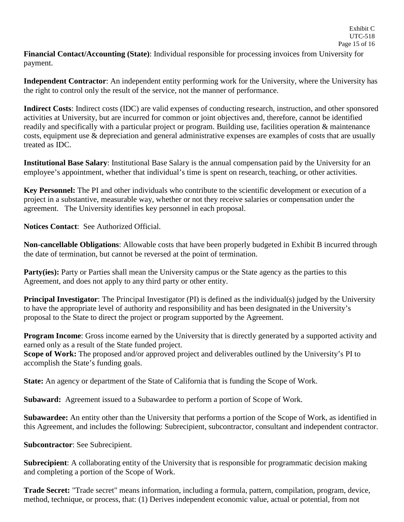<span id="page-14-10"></span>**Financial Contact/Accounting (State)**: Individual responsible for processing invoices from University for payment.

**Independent Contractor**: An independent entity performing work for the University, where the University has the right to control only the result of the service, not the manner of performance.

<span id="page-14-9"></span>**Indirect Costs**: Indirect costs (IDC) are valid expenses of conducting research, instruction, and other sponsored activities at University, but are incurred for common or joint objectives and, therefore, cannot be identified readily and specifically with a particular project or program. Building use, facilities operation & maintenance costs, equipment use & depreciation and general administrative expenses are examples of costs that are usually treated as IDC.

**Institutional Base Salary**: Institutional Base Salary is the annual compensation paid by the University for an employee's appointment, whether that individual's time is spent on research, teaching, or other activities.

<span id="page-14-6"></span>**Key Personnel:** The PI and other individuals who contribute to the scientific development or execution of a project in a substantive, measurable way, whether or not they receive salaries or compensation under the agreement. The University identifies key personnel in each proposal.

**Notices Contact**: See Authorized Official.

<span id="page-14-3"></span>**Non-cancellable Obligations**: Allowable costs that have been properly budgeted in Exhibit B incurred through the date of termination, but cannot be reversed at the point of termination.

<span id="page-14-0"></span>**Party(ies):** Party or Parties shall mean the University campus or the State agency as the parties to this Agreement, and does not apply to any third party or other entity.

<span id="page-14-2"></span>**Principal Investigator**: The Principal Investigator (PI) is defined as the individual(s) judged by the University to have the appropriate level of authority and responsibility and has been designated in the University's proposal to the State to direct the project or program supported by the Agreement.

<span id="page-14-11"></span>**Program Income**: Gross income earned by the University that is directly generated by a supported activity and earned only as a result of the State funded project.

<span id="page-14-4"></span>**Scope of Work:** The proposed and/or approved project and deliverables outlined by the University's PI to accomplish the State's funding goals.

<span id="page-14-1"></span>**State:** An agency or department of the State of California that is funding the Scope of Work.

<span id="page-14-7"></span>**Subaward:** Agreement issued to a Subawardee to perform a portion of Scope of Work.

<span id="page-14-8"></span>**Subawardee:** An entity other than the University that performs a portion of the Scope of Work, as identified in this Agreement, and includes the following: Subrecipient, subcontractor, consultant and independent contractor.

**Subcontractor**: See Subrecipient.

**Subrecipient**: A collaborating entity of the University that is responsible for programmatic decision making and completing a portion of the Scope of Work.

<span id="page-14-5"></span>**Trade Secret:** "Trade secret" means information, including a formula, pattern, compilation, program, device, method, technique, or process, that: (1) Derives independent economic value, actual or potential, from not